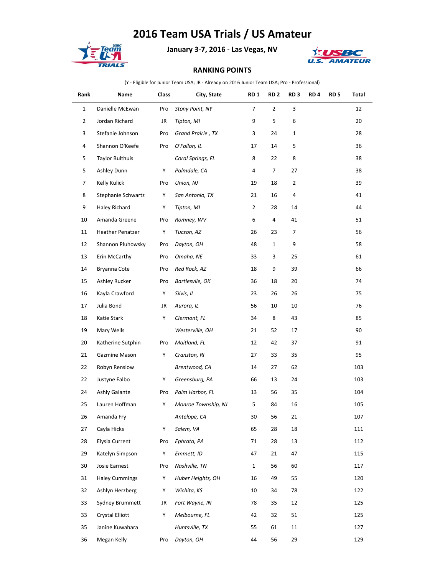## **2016 Team USA Trials / US Amateur**



**January 3-7, 2016 - Las Vegas, NV**



## **RANKING POINTS**

(Y - Eligible for Junior Team USA; JR - Already on 2016 Junior Team USA; Pro - Professional)

| Rank           | Name                    | Class | City, State         | RD <sub>1</sub> | RD <sub>2</sub> | RD <sub>3</sub> | RD <sub>4</sub> | RD <sub>5</sub> | Total |
|----------------|-------------------------|-------|---------------------|-----------------|-----------------|-----------------|-----------------|-----------------|-------|
| $\mathbf{1}$   | Danielle McEwan         | Pro   | Stony Point, NY     | $\overline{7}$  | $\overline{2}$  | 3               |                 |                 | 12    |
| $\overline{2}$ | Jordan Richard          | JR    | Tipton, MI          | 9               | 5               | 6               |                 |                 | 20    |
| 3              | Stefanie Johnson        | Pro   | Grand Prairie, TX   | 3               | 24              | $\mathbf{1}$    |                 |                 | 28    |
| 4              | Shannon O'Keefe         | Pro   | O'Fallon, IL        | 17              | 14              | 5               |                 |                 | 36    |
| 5              | <b>Taylor Bulthuis</b>  |       | Coral Springs, FL   | 8               | 22              | 8               |                 |                 | 38    |
| 5              | Ashley Dunn             | Y     | Palmdale, CA        | 4               | 7               | 27              |                 |                 | 38    |
| 7              | Kelly Kulick            | Pro   | Union, NJ           | 19              | 18              | $\overline{2}$  |                 |                 | 39    |
| 8              | Stephanie Schwartz      | Y     | San Antonio, TX     | 21              | 16              | $\overline{a}$  |                 |                 | 41    |
| 9              | Haley Richard           | Y     | Tipton, MI          | $\overline{2}$  | 28              | 14              |                 |                 | 44    |
| 10             | Amanda Greene           | Pro   | Romney, WV          | 6               | 4               | 41              |                 |                 | 51    |
| 11             | <b>Heather Penatzer</b> | Y     | Tucson, AZ          | 26              | 23              | 7               |                 |                 | 56    |
| 12             | Shannon Pluhowsky       | Pro   | Dayton, OH          | 48              | $\mathbf{1}$    | 9               |                 |                 | 58    |
| 13             | Erin McCarthy           | Pro   | Omaha, NE           | 33              | 3               | 25              |                 |                 | 61    |
| 14             | Bryanna Cote            | Pro   | Red Rock, AZ        | 18              | 9               | 39              |                 |                 | 66    |
| 15             | Ashley Rucker           | Pro   | Bartlesvile, OK     | 36              | 18              | 20              |                 |                 | 74    |
| 16             | Kayla Crawford          | Y     | Silvis, IL          | 23              | 26              | 26              |                 |                 | 75    |
| 17             | Julia Bond              | JR    | Aurora, IL          | 56              | 10              | 10              |                 |                 | 76    |
| 18             | Katie Stark             | Y     | Clermont, FL        | 34              | 8               | 43              |                 |                 | 85    |
| 19             | Mary Wells              |       | Westerville, OH     | 21              | 52              | 17              |                 |                 | 90    |
| 20             | Katherine Sutphin       | Pro   | Maitland, FL        | 12              | 42              | 37              |                 |                 | 91    |
| 21             | Gazmine Mason           | Y     | Cranston, RI        | 27              | 33              | 35              |                 |                 | 95    |
| 22             | Robyn Renslow           |       | Brentwood, CA       | 14              | 27              | 62              |                 |                 | 103   |
| 22             | Justyne Falbo           | Y     | Greensburg, PA      | 66              | 13              | 24              |                 |                 | 103   |
| 24             | Ashly Galante           | Pro   | Palm Harbor, FL     | 13              | 56              | 35              |                 |                 | 104   |
| 25             | Lauren Hoffman          | Y     | Monroe Township, NJ | 5               | 84              | 16              |                 |                 | 105   |
| 26             | Amanda Fry              |       | Antelope, CA        | $30\,$          | 56              | 21              |                 |                 | 107   |
| 27             | Cayla Hicks             | Y     | Salem, VA           | 65              | 28              | 18              |                 |                 | 111   |
| 28             | Elysia Current          | Pro   | Ephrata, PA         | 71              | 28              | 13              |                 |                 | 112   |
| 29             | Katelyn Simpson         | Y     | Emmett, ID          | 47              | 21              | 47              |                 |                 | 115   |
| 30             | Josie Earnest           | Pro   | Nashville, TN       | $\mathbf{1}$    | 56              | 60              |                 |                 | 117   |
| 31             | <b>Haley Cummings</b>   | Y     | Huber Heights, OH   | 16              | 49              | 55              |                 |                 | 120   |
| 32             | Ashlyn Herzberg         | Y     | Wichita, KS         | 10              | 34              | 78              |                 |                 | 122   |
| 33             | <b>Sydney Brummett</b>  | JR    | Fort Wayne, IN      | 78              | 35              | 12              |                 |                 | 125   |
| 33             | Crystal Elliott         | Y     | Melbourne, FL       | 42              | 32              | 51              |                 |                 | 125   |
| 35             | Janine Kuwahara         |       | Huntsville, TX      | 55              | 61              | 11              |                 |                 | 127   |
| 36             | Megan Kelly             | Pro   | Dayton, OH          | 44              | 56              | 29              |                 |                 | 129   |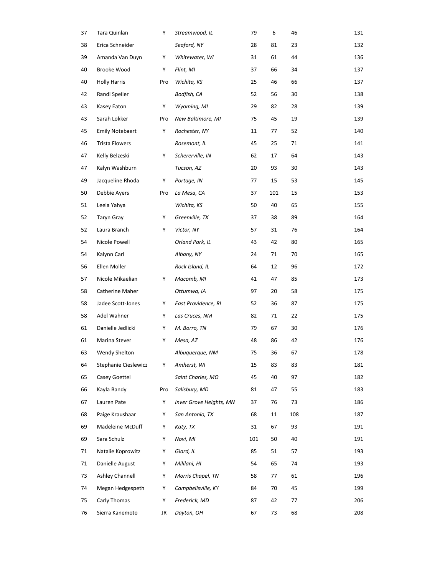| 37 | Tara Quinlan           | Υ   | Streamwood, IL          | 79  | 6   | 46  | 131 |
|----|------------------------|-----|-------------------------|-----|-----|-----|-----|
| 38 | Erica Schneider        |     | Seaford, NY             | 28  | 81  | 23  | 132 |
| 39 | Amanda Van Duyn        | Y   | Whitewater, WI          | 31  | 61  | 44  | 136 |
| 40 | Brooke Wood            | Υ   | Flint, MI               | 37  | 66  | 34  | 137 |
| 40 | <b>Holly Harris</b>    | Pro | Wichita, KS             | 25  | 46  | 66  | 137 |
| 42 | Randi Speiler          |     | Bodfish, CA             | 52  | 56  | 30  | 138 |
| 43 | Kasey Eaton            | Y   | Wyoming, MI             | 29  | 82  | 28  | 139 |
| 43 | Sarah Lokker           | Pro | New Baltimore, MI       | 75  | 45  | 19  | 139 |
| 45 | <b>Emily Notebaert</b> | Y   | Rochester, NY           | 11  | 77  | 52  | 140 |
| 46 | <b>Trista Flowers</b>  |     | Rosemont, IL            | 45  | 25  | 71  | 141 |
| 47 | Kelly Belzeski         | Y   | Schererville, IN        | 62  | 17  | 64  | 143 |
| 47 | Kalyn Washburn         |     | Tucson, AZ              | 20  | 93  | 30  | 143 |
| 49 | Jacqueline Rhoda       | Υ   | Portage, IN             | 77  | 15  | 53  | 145 |
| 50 | Debbie Ayers           | Pro | La Mesa, CA             | 37  | 101 | 15  | 153 |
| 51 | Leela Yahya            |     | Wichita, KS             | 50  | 40  | 65  | 155 |
| 52 | Taryn Gray             | Y   | Greenville, TX          | 37  | 38  | 89  | 164 |
| 52 | Laura Branch           | Y   | Victor, NY              | 57  | 31  | 76  | 164 |
| 54 | Nicole Powell          |     | Orland Park, IL         | 43  | 42  | 80  | 165 |
| 54 | Kalynn Carl            |     | Albany, NY              | 24  | 71  | 70  | 165 |
| 56 | Ellen Moller           |     | Rock Island, IL         | 64  | 12  | 96  | 172 |
| 57 | Nicole Mikaelian       | Y   | Macomb, MI              | 41  | 47  | 85  | 173 |
| 58 | Catherine Maher        |     | Ottumwa, IA             | 97  | 20  | 58  | 175 |
| 58 | Jadee Scott-Jones      | Y   | East Providence, RI     | 52  | 36  | 87  | 175 |
| 58 | Adel Wahner            | Y   | Las Cruces, NM          | 82  | 71  | 22  | 175 |
| 61 | Danielle Jedlicki      | Y   | M. Borro, TN            | 79  | 67  | 30  | 176 |
| 61 | Marina Stever          | Y   | Mesa, AZ                | 48  | 86  | 42  | 176 |
| 63 | Wendy Shelton          |     | Albuquerque, NM         | 75  | 36  | 67  | 178 |
| 64 | Stephanie Cieslewicz   | Y   | Amherst, WI             | 15  | 83  | 83  | 181 |
| 65 | Casey Goettel          |     | Saint Charles, MO       | 45  | 40  | 97  | 182 |
| 66 | Kayla Bandy            | Pro | Salisbury, MD           | 81  | 47  | 55  | 183 |
| 67 | Lauren Pate            | Y   | Inver Grove Heights, MN | 37  | 76  | 73  | 186 |
| 68 | Paige Kraushaar        | Y   | San Antonio, TX         | 68  | 11  | 108 | 187 |
| 69 | Madeleine McDuff       | Y   | Katy, TX                | 31  | 67  | 93  | 191 |
| 69 | Sara Schulz            | Y   | Novi, MI                | 101 | 50  | 40  | 191 |
| 71 | Natalie Koprowitz      | Y   | Giard, IL               | 85  | 51  | 57  | 193 |
| 71 | Danielle August        | Y   | Mililani, HI            | 54  | 65  | 74  | 193 |
| 73 | Ashley Channell        | Y   | Morris Chapel, TN       | 58  | 77  | 61  | 196 |
| 74 | Megan Hedgespeth       | Y   | Campbellsville, KY      | 84  | 70  | 45  | 199 |
| 75 | Carly Thomas           | Y   | Frederick, MD           | 87  | 42  | 77  | 206 |
| 76 | Sierra Kanemoto        | JR  | Dayton, OH              | 67  | 73  | 68  | 208 |